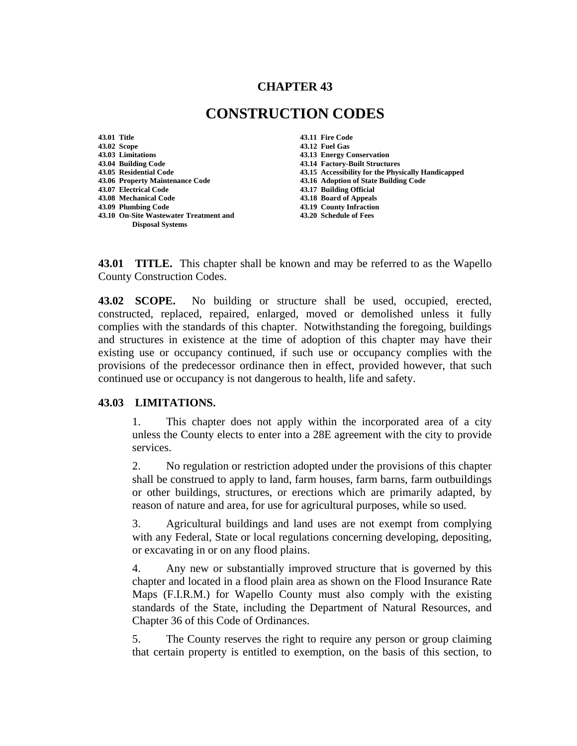## **CHAPTER 43**

# **CONSTRUCTION CODES**

**43.01 Title 43.11 Fire Code 43.02 Scope 43.12 Fuel Gas 43.04 Building Code 43.14 Factory-Built Structures 43.06 Property Maintenance Code 43.16 Adoption of State Building Code 43.07 Electrical Code 43.17 Building Official 43.08 Mechanical Code 43.18 Board of Appeals 43.10 On-Site Wastewater Treatment and 43.20 Schedule of Fees Disposal Systems** 

**43.13 Energy Conservation 43.05 Residential Code 43.15 Accessibility for the Physically Handicapped 43.19 County Infraction** 

**43.01 TITLE.** This chapter shall be known and may be referred to as the Wapello County Construction Codes.

**43.02 SCOPE.** No building or structure shall be used, occupied, erected, constructed, replaced, repaired, enlarged, moved or demolished unless it fully complies with the standards of this chapter. Notwithstanding the foregoing, buildings and structures in existence at the time of adoption of this chapter may have their existing use or occupancy continued, if such use or occupancy complies with the provisions of the predecessor ordinance then in effect, provided however, that such continued use or occupancy is not dangerous to health, life and safety.

#### **43.03 LIMITATIONS.**

1. This chapter does not apply within the incorporated area of a city unless the County elects to enter into a 28E agreement with the city to provide services.

2. No regulation or restriction adopted under the provisions of this chapter shall be construed to apply to land, farm houses, farm barns, farm outbuildings or other buildings, structures, or erections which are primarily adapted, by reason of nature and area, for use for agricultural purposes, while so used.

3. Agricultural buildings and land uses are not exempt from complying with any Federal, State or local regulations concerning developing, depositing, or excavating in or on any flood plains.

4. Any new or substantially improved structure that is governed by this chapter and located in a flood plain area as shown on the Flood Insurance Rate Maps (F.I.R.M.) for Wapello County must also comply with the existing standards of the State, including the Department of Natural Resources, and Chapter 36 of this Code of Ordinances.

5. The County reserves the right to require any person or group claiming that certain property is entitled to exemption, on the basis of this section, to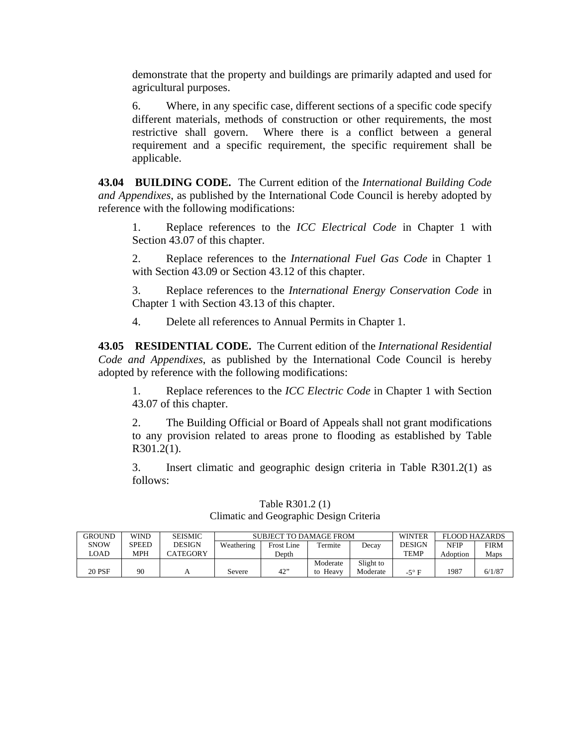demonstrate that the property and buildings are primarily adapted and used for agricultural purposes.

6. Where, in any specific case, different sections of a specific code specify different materials, methods of construction or other requirements, the most restrictive shall govern. Where there is a conflict between a general requirement and a specific requirement, the specific requirement shall be applicable.

**43.04 BUILDING CODE.** The Current edition of the *International Building Code and Appendixes*, as published by the International Code Council is hereby adopted by reference with the following modifications:

1. Replace references to the *ICC Electrical Code* in Chapter 1 with Section 43.07 of this chapter.

2. Replace references to the *International Fuel Gas Code* in Chapter 1 with Section 43.09 or Section 43.12 of this chapter.

3. Replace references to the *International Energy Conservation Code* in Chapter 1 with Section 43.13 of this chapter.

4. Delete all references to Annual Permits in Chapter 1.

**43.05 RESIDENTIAL CODE.** The Current edition of the *International Residential Code and Appendixes*, as published by the International Code Council is hereby adopted by reference with the following modifications:

1. Replace references to the *ICC Electric Code* in Chapter 1 with Section 43.07 of this chapter.

2. The Building Official or Board of Appeals shall not grant modifications to any provision related to areas prone to flooding as established by Table R301.2(1).

3. Insert climatic and geographic design criteria in Table R301.2(1) as follows:

| <b>GROUND</b> | <b>WIND</b> | <b>SEISMIC</b> | SUBJECT TO DAMAGE FROM |                   |          |           | <b>WINTER</b> | FLOOD HAZARDS |             |
|---------------|-------------|----------------|------------------------|-------------------|----------|-----------|---------------|---------------|-------------|
| <b>SNOW</b>   | SPEED       | <b>DESIGN</b>  | Weathering             | <b>Frost Line</b> | Termite  | Decav     | <b>DESIGN</b> | <b>NFIP</b>   | <b>FIRM</b> |
| LOAD          | MPH         | CATEGORY       |                        | Depth             |          |           | <b>TEMP</b>   | Adoption      | Maps        |
|               |             |                |                        |                   | Moderate | Slight to |               |               |             |
| 20 PSF        | 90          |                | Severe                 | 42"               | to Heavy | Moderate  | -5° F         | 1987          | 6/1/87      |

Table R301.2 (1) Climatic and Geographic Design Criteria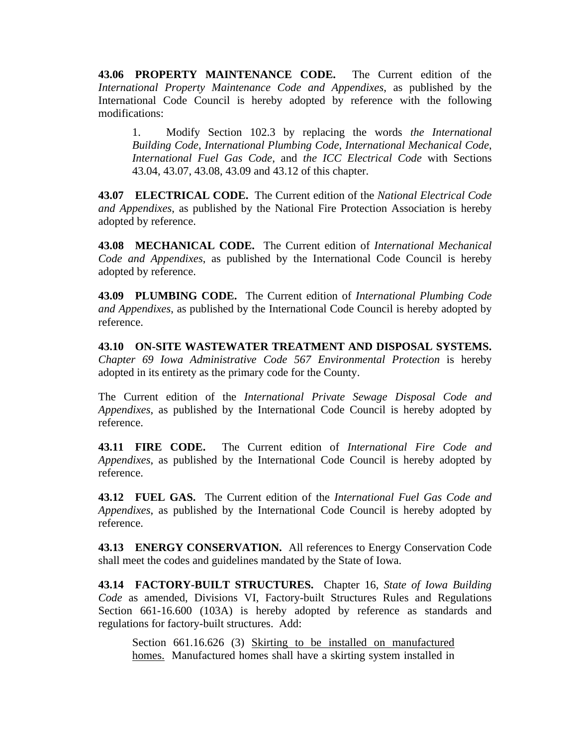**43.06 PROPERTY MAINTENANCE CODE.** The Current edition of the *International Property Maintenance Code and Appendixes*, as published by the International Code Council is hereby adopted by reference with the following modifications:

1. Modify Section 102.3 by replacing the words *the International Building Code*, *International Plumbing Code*, *International Mechanical Code*, *International Fuel Gas Code*, and *the ICC Electrical Code* with Sections 43.04, 43.07, 43.08, 43.09 and 43.12 of this chapter.

**43.07 ELECTRICAL CODE.** The Current edition of the *National Electrical Code and Appendixes*, as published by the National Fire Protection Association is hereby adopted by reference.

**43.08 MECHANICAL CODE.** The Current edition of *International Mechanical Code and Appendixes*, as published by the International Code Council is hereby adopted by reference.

**43.09 PLUMBING CODE.** The Current edition of *International Plumbing Code and Appendixes*, as published by the International Code Council is hereby adopted by reference.

**43.10 ON-SITE WASTEWATER TREATMENT AND DISPOSAL SYSTEMS.** *Chapter 69 Iowa Administrative Code 567 Environmental Protection* is hereby adopted in its entirety as the primary code for the County.

The Current edition of the *International Private Sewage Disposal Code and Appendixes*, as published by the International Code Council is hereby adopted by reference.

**43.11 FIRE CODE.** The Current edition of *International Fire Code and Appendixes*, as published by the International Code Council is hereby adopted by reference.

**43.12 FUEL GAS.** The Current edition of the *International Fuel Gas Code and Appendixes*, as published by the International Code Council is hereby adopted by reference.

**43.13 ENERGY CONSERVATION.** All references to Energy Conservation Code shall meet the codes and guidelines mandated by the State of Iowa.

**43.14 FACTORY-BUILT STRUCTURES.** Chapter 16, *State of Iowa Building Code* as amended, Divisions VI, Factory-built Structures Rules and Regulations Section 661-16.600 (103A) is hereby adopted by reference as standards and regulations for factory-built structures. Add:

Section 661.16.626 (3) Skirting to be installed on manufactured homes. Manufactured homes shall have a skirting system installed in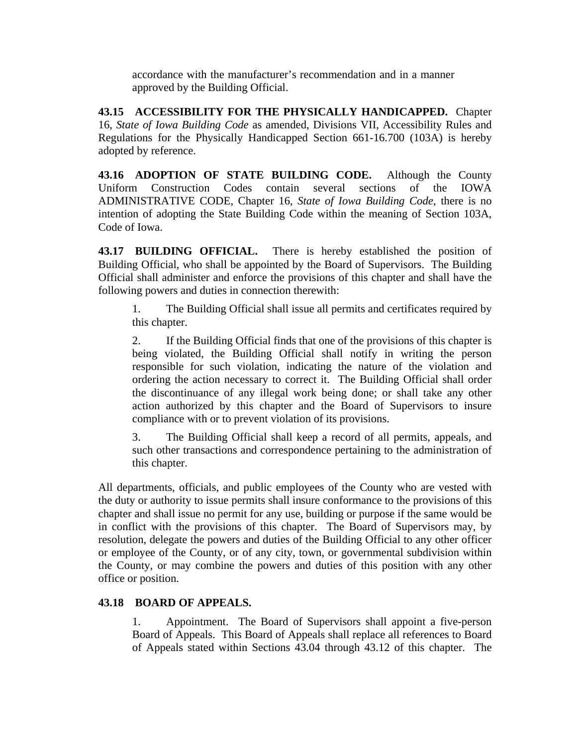accordance with the manufacturer's recommendation and in a manner approved by the Building Official.

**43.15 ACCESSIBILITY FOR THE PHYSICALLY HANDICAPPED.** Chapter 16, *State of Iowa Building Code* as amended, Divisions VII, Accessibility Rules and Regulations for the Physically Handicapped Section 661-16.700 (103A) is hereby adopted by reference.

**43.16 ADOPTION OF STATE BUILDING CODE.** Although the County Uniform Construction Codes contain several sections of the IOWA ADMINISTRATIVE CODE, Chapter 16, *State of Iowa Building Code*, there is no intention of adopting the State Building Code within the meaning of Section 103A, Code of Iowa.

**43.17 BUILDING OFFICIAL.** There is hereby established the position of Building Official, who shall be appointed by the Board of Supervisors. The Building Official shall administer and enforce the provisions of this chapter and shall have the following powers and duties in connection therewith:

1. The Building Official shall issue all permits and certificates required by this chapter.

2. If the Building Official finds that one of the provisions of this chapter is being violated, the Building Official shall notify in writing the person responsible for such violation, indicating the nature of the violation and ordering the action necessary to correct it. The Building Official shall order the discontinuance of any illegal work being done; or shall take any other action authorized by this chapter and the Board of Supervisors to insure compliance with or to prevent violation of its provisions.

3. The Building Official shall keep a record of all permits, appeals, and such other transactions and correspondence pertaining to the administration of this chapter.

All departments, officials, and public employees of the County who are vested with the duty or authority to issue permits shall insure conformance to the provisions of this chapter and shall issue no permit for any use, building or purpose if the same would be in conflict with the provisions of this chapter. The Board of Supervisors may, by resolution, delegate the powers and duties of the Building Official to any other officer or employee of the County, or of any city, town, or governmental subdivision within the County, or may combine the powers and duties of this position with any other office or position.

## **43.18 BOARD OF APPEALS.**

1. Appointment. The Board of Supervisors shall appoint a five-person Board of Appeals. This Board of Appeals shall replace all references to Board of Appeals stated within Sections 43.04 through 43.12 of this chapter. The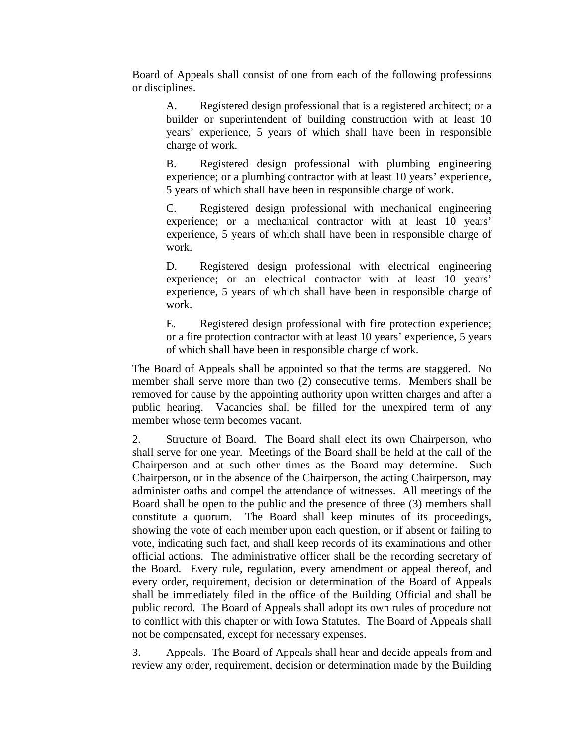Board of Appeals shall consist of one from each of the following professions or disciplines.

A. Registered design professional that is a registered architect; or a builder or superintendent of building construction with at least 10 years' experience, 5 years of which shall have been in responsible charge of work.

B. Registered design professional with plumbing engineering experience; or a plumbing contractor with at least 10 years' experience, 5 years of which shall have been in responsible charge of work.

C. Registered design professional with mechanical engineering experience; or a mechanical contractor with at least 10 years' experience, 5 years of which shall have been in responsible charge of work.

D. Registered design professional with electrical engineering experience; or an electrical contractor with at least 10 years' experience, 5 years of which shall have been in responsible charge of work.

E. Registered design professional with fire protection experience; or a fire protection contractor with at least 10 years' experience, 5 years of which shall have been in responsible charge of work.

The Board of Appeals shall be appointed so that the terms are staggered. No member shall serve more than two (2) consecutive terms. Members shall be removed for cause by the appointing authority upon written charges and after a public hearing. Vacancies shall be filled for the unexpired term of any member whose term becomes vacant.

2. Structure of Board. The Board shall elect its own Chairperson, who shall serve for one year. Meetings of the Board shall be held at the call of the Chairperson and at such other times as the Board may determine. Such Chairperson, or in the absence of the Chairperson, the acting Chairperson, may administer oaths and compel the attendance of witnesses. All meetings of the Board shall be open to the public and the presence of three (3) members shall constitute a quorum. The Board shall keep minutes of its proceedings, showing the vote of each member upon each question, or if absent or failing to vote, indicating such fact, and shall keep records of its examinations and other official actions. The administrative officer shall be the recording secretary of the Board. Every rule, regulation, every amendment or appeal thereof, and every order, requirement, decision or determination of the Board of Appeals shall be immediately filed in the office of the Building Official and shall be public record. The Board of Appeals shall adopt its own rules of procedure not to conflict with this chapter or with Iowa Statutes. The Board of Appeals shall not be compensated, except for necessary expenses.

3. Appeals. The Board of Appeals shall hear and decide appeals from and review any order, requirement, decision or determination made by the Building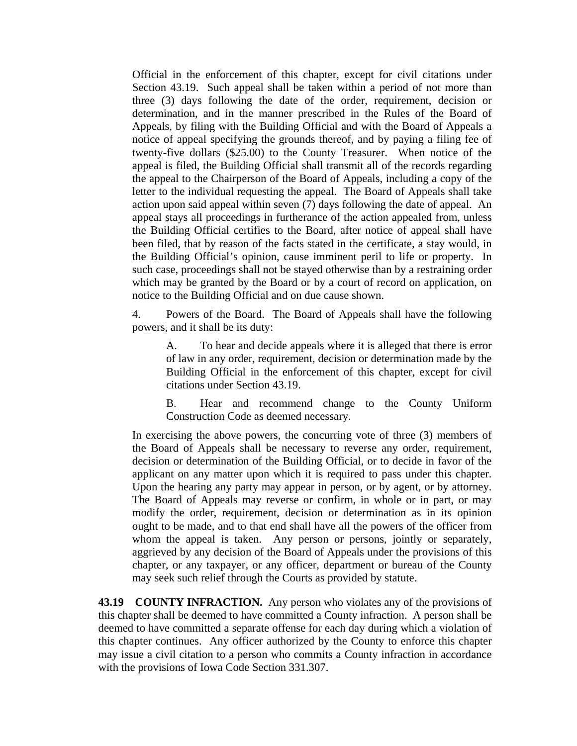Official in the enforcement of this chapter, except for civil citations under Section 43.19. Such appeal shall be taken within a period of not more than three (3) days following the date of the order, requirement, decision or determination, and in the manner prescribed in the Rules of the Board of Appeals, by filing with the Building Official and with the Board of Appeals a notice of appeal specifying the grounds thereof, and by paying a filing fee of twenty-five dollars (\$25.00) to the County Treasurer. When notice of the appeal is filed, the Building Official shall transmit all of the records regarding the appeal to the Chairperson of the Board of Appeals, including a copy of the letter to the individual requesting the appeal. The Board of Appeals shall take action upon said appeal within seven (7) days following the date of appeal. An appeal stays all proceedings in furtherance of the action appealed from, unless the Building Official certifies to the Board, after notice of appeal shall have been filed, that by reason of the facts stated in the certificate, a stay would, in the Building Official's opinion, cause imminent peril to life or property. In such case, proceedings shall not be stayed otherwise than by a restraining order which may be granted by the Board or by a court of record on application, on notice to the Building Official and on due cause shown.

4. Powers of the Board. The Board of Appeals shall have the following powers, and it shall be its duty:

A. To hear and decide appeals where it is alleged that there is error of law in any order, requirement, decision or determination made by the Building Official in the enforcement of this chapter, except for civil citations under Section 43.19.

B. Hear and recommend change to the County Uniform Construction Code as deemed necessary.

In exercising the above powers, the concurring vote of three (3) members of the Board of Appeals shall be necessary to reverse any order, requirement, decision or determination of the Building Official, or to decide in favor of the applicant on any matter upon which it is required to pass under this chapter. Upon the hearing any party may appear in person, or by agent, or by attorney. The Board of Appeals may reverse or confirm, in whole or in part, or may modify the order, requirement, decision or determination as in its opinion ought to be made, and to that end shall have all the powers of the officer from whom the appeal is taken. Any person or persons, jointly or separately, aggrieved by any decision of the Board of Appeals under the provisions of this chapter, or any taxpayer, or any officer, department or bureau of the County may seek such relief through the Courts as provided by statute.

**43.19 COUNTY INFRACTION.** Any person who violates any of the provisions of this chapter shall be deemed to have committed a County infraction. A person shall be deemed to have committed a separate offense for each day during which a violation of this chapter continues. Any officer authorized by the County to enforce this chapter may issue a civil citation to a person who commits a County infraction in accordance with the provisions of Iowa Code Section 331.307.